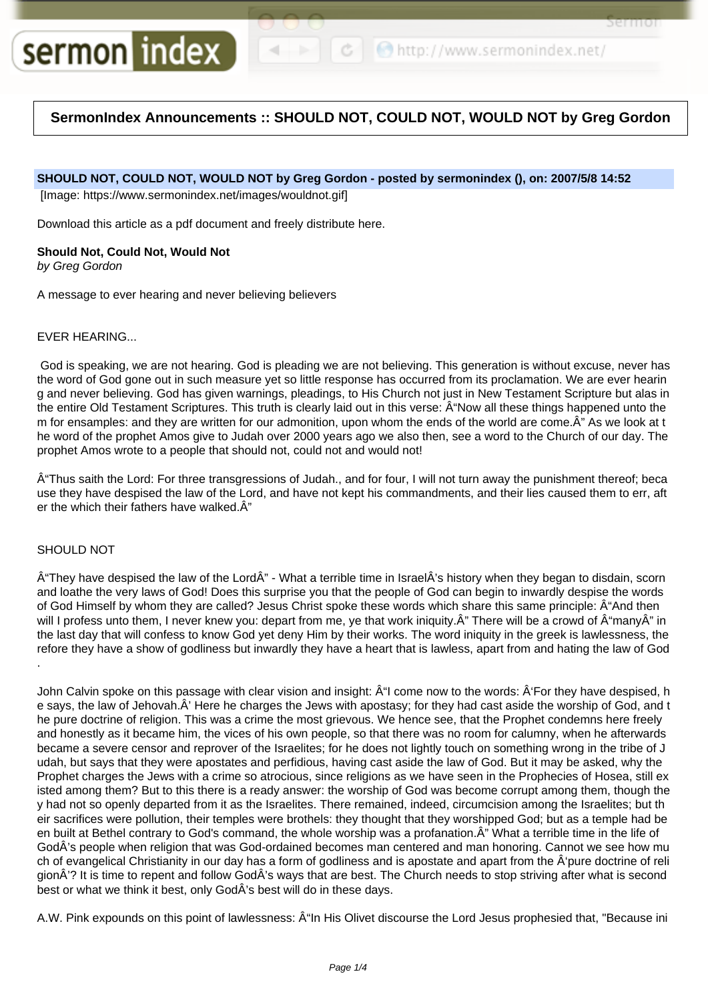```
http://www.sermonindex.net/
```
Sel Itiol

# **SermonIndex Announcements :: SHOULD NOT, COULD NOT, WOULD NOT by Greg Gordon**

# **SHOULD NOT, COULD NOT, WOULD NOT by Greg Gordon - posted by sermonindex (), on: 2007/5/8 14:52**

[Image: https://www.sermonindex.net/images/wouldnot.gif]

Download this article as a pdf document and freely distribute here.

## **Should Not, Could Not, Would Not**

sermon index

by Greg Gordon

A message to ever hearing and never believing believers

## EVER HEARING...

God is speaking, we are not hearing. God is pleading we are not believing. This generation is without excuse, never has the word of God gone out in such measure yet so little response has occurred from its proclamation. We are ever hearin g and never believing. God has given warnings, pleadings, to His Church not just in New Testament Scripture but alas in the entire Old Testament Scriptures. This truth is clearly laid out in this verse:  $\hat{A}$ "Now all these things happened unto the m for ensamples: and they are written for our admonition, upon whom the ends of the world are come. A" As we look at t he word of the prophet Amos give to Judah over 2000 years ago we also then, see a word to the Church of our day. The prophet Amos wrote to a people that should not, could not and would not!

 Thus saith the Lord: For three transgressions of Judah., and for four, I will not turn away the punishment thereof; beca use they have despised the law of the Lord, and have not kept his commandments, and their lies caused them to err, aft er the which their fathers have walked. $\hat{A}$ "

## SHOULD NOT

 $\hat{A}$ "They have despised the law of the Lord $\hat{A}$ " - What a terrible time in Israel $\hat{A}$ 's history when they began to disdain, scorn and loathe the very laws of God! Does this surprise you that the people of God can begin to inwardly despise the words of God Himself by whom they are called? Jesus Christ spoke these words which share this same principle:  $\hat{A}^*$ And then will I profess unto them, I never knew you: depart from me, ye that work iniquity. A" There will be a crowd of A"manyA" in the last day that will confess to know God yet deny Him by their works. The word iniquity in the greek is lawlessness, the refore they have a show of godliness but inwardly they have a heart that is lawless, apart from and hating the law of God .

John Calvin spoke on this passage with clear vision and insight:  $\hat{A}^{\prime\prime}$  come now to the words:  $\hat{A}^{\prime}$  For they have despised, h e says, the law of Jehovah.Â' Here he charges the Jews with apostasy; for they had cast aside the worship of God, and t he pure doctrine of religion. This was a crime the most grievous. We hence see, that the Prophet condemns here freely and honestly as it became him, the vices of his own people, so that there was no room for calumny, when he afterwards became a severe censor and reprover of the Israelites; for he does not lightly touch on something wrong in the tribe of J udah, but says that they were apostates and perfidious, having cast aside the law of God. But it may be asked, why the Prophet charges the Jews with a crime so atrocious, since religions as we have seen in the Prophecies of Hosea, still ex isted among them? But to this there is a ready answer: the worship of God was become corrupt among them, though the y had not so openly departed from it as the Israelites. There remained, indeed, circumcision among the Israelites; but th eir sacrifices were pollution, their temples were brothels: they thought that they worshipped God; but as a temple had be en built at Bethel contrary to God's command, the whole worship was a profanation. A<sup>"</sup> What a terrible time in the life of GodÂ's people when religion that was God-ordained becomes man centered and man honoring. Cannot we see how mu ch of evangelical Christianity in our day has a form of godliness and is apostate and apart from the  $\hat{A}$ 'pure doctrine of reli gionÂ'? It is time to repent and follow GodÂ's ways that are best. The Church needs to stop striving after what is second best or what we think it best, only GodÂ's best will do in these days.

A.W. Pink expounds on this point of lawlessness:  $\hat{A}$ "In His Olivet discourse the Lord Jesus prophesied that, "Because ini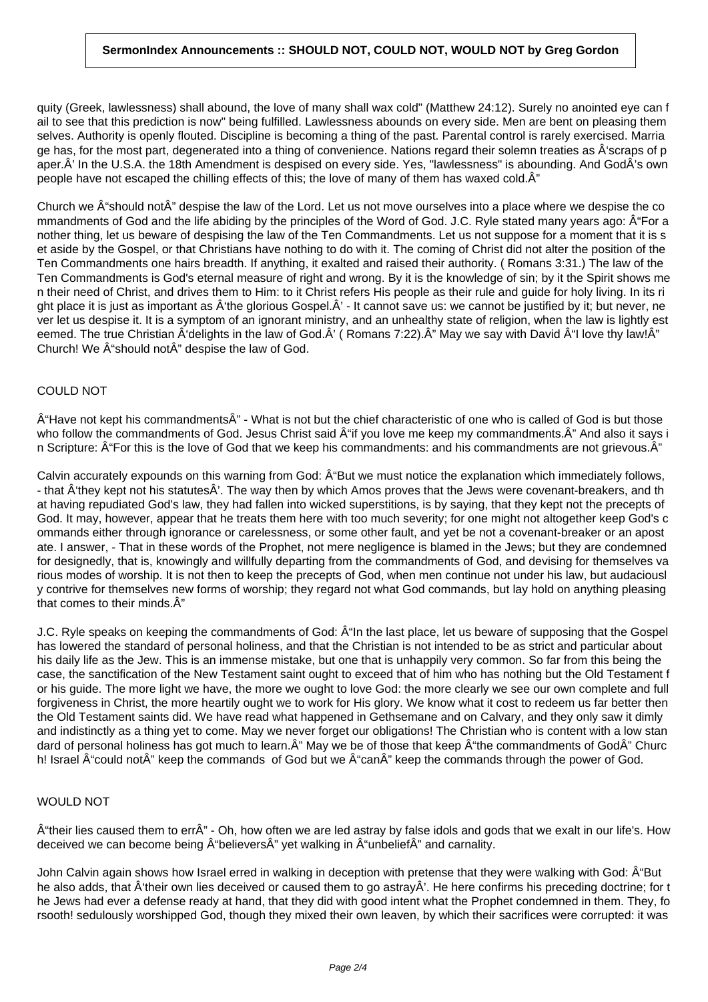# **SermonIndex Announcements :: SHOULD NOT, COULD NOT, WOULD NOT by Greg Gordon**

quity (Greek, lawlessness) shall abound, the love of many shall wax cold" (Matthew 24:12). Surely no anointed eye can f ail to see that this prediction is now" being fulfilled. Lawlessness abounds on every side. Men are bent on pleasing them selves. Authority is openly flouted. Discipline is becoming a thing of the past. Parental control is rarely exercised. Marria ge has, for the most part, degenerated into a thing of convenience. Nations regard their solemn treaties as  $\hat{A}$ 'scraps of p aper.Â' In the U.S.A. the 18th Amendment is despised on every side. Yes, "lawlessness" is abounding. And GodÂ's own people have not escaped the chilling effects of this; the love of many of them has waxed cold. $\hat{A}$ "

Church we  $\hat{A}$ " should not $\hat{A}$ " despise the law of the Lord. Let us not move ourselves into a place where we despise the co mmandments of God and the life abiding by the principles of the Word of God. J.C. Ryle stated many years ago: Â For a nother thing, let us beware of despising the law of the Ten Commandments. Let us not suppose for a moment that it is s et aside by the Gospel, or that Christians have nothing to do with it. The coming of Christ did not alter the position of the Ten Commandments one hairs breadth. If anything, it exalted and raised their authority. ( Romans 3:31.) The law of the Ten Commandments is God's eternal measure of right and wrong. By it is the knowledge of sin; by it the Spirit shows me n their need of Christ, and drives them to Him: to it Christ refers His people as their rule and guide for holy living. In its ri ght place it is just as important as  $\hat{A}$ 'the glorious Gospel. $\hat{A}'$  - It cannot save us: we cannot be justified by it; but never, ne ver let us despise it. It is a symptom of an ignorant ministry, and an unhealthy state of religion, when the law is lightly est eemed. The true Christian  $\hat{A}$  delights in the law of God. $\hat{A}'$  (Romans 7:22). $\hat{A}''$  May we say with David  $\hat{A}''$ l love thy law! $\hat{A}''$ Church! We  $\hat{A}$ "should not $\hat{A}$ " despise the law of God.

# COULD NOT

 $\hat{A}$ "Have not kept his commandments $\hat{A}$ " - What is not but the chief characteristic of one who is called of God is but those who follow the commandments of God. Jesus Christ said  $\hat{A}$ "if you love me keep my commandments. $\hat{A}$ " And also it says i n Scripture:  $\hat{A}$ "For this is the love of God that we keep his commandments: and his commandments are not grievous. $\hat{A}$ "

Calvin accurately expounds on this warning from God:  $\hat{A}$ "But we must notice the explanation which immediately follows, - that  $\hat{A}$ 'they kept not his statutes $\hat{A}$ '. The way then by which Amos proves that the Jews were covenant-breakers, and th at having repudiated God's law, they had fallen into wicked superstitions, is by saying, that they kept not the precepts of God. It may, however, appear that he treats them here with too much severity; for one might not altogether keep God's c ommands either through ignorance or carelessness, or some other fault, and yet be not a covenant-breaker or an apost ate. I answer, - That in these words of the Prophet, not mere negligence is blamed in the Jews; but they are condemned for designedly, that is, knowingly and willfully departing from the commandments of God, and devising for themselves va rious modes of worship. It is not then to keep the precepts of God, when men continue not under his law, but audaciousl y contrive for themselves new forms of worship; they regard not what God commands, but lay hold on anything pleasing that comes to their minds. $A$ "

J.C. Ryle speaks on keeping the commandments of God:  $\hat{A}$ "In the last place, let us beware of supposing that the Gospel has lowered the standard of personal holiness, and that the Christian is not intended to be as strict and particular about his daily life as the Jew. This is an immense mistake, but one that is unhappily very common. So far from this being the case, the sanctification of the New Testament saint ought to exceed that of him who has nothing but the Old Testament f or his guide. The more light we have, the more we ought to love God: the more clearly we see our own complete and full forgiveness in Christ, the more heartily ought we to work for His glory. We know what it cost to redeem us far better then the Old Testament saints did. We have read what happened in Gethsemane and on Calvary, and they only saw it dimly and indistinctly as a thing yet to come. May we never forget our obligations! The Christian who is content with a low stan dard of personal holiness has got much to learn. $\hat{A}$ " May we be of those that keep  $\hat{A}$ " the commandments of God $\hat{A}$ " Churc h! Israel  $\hat{A}$ "could not $\hat{A}$ " keep the commands of God but we  $\hat{A}$ "can $\hat{A}$ " keep the commands through the power of God.

# WOULD NOT

 $\hat{A}$ "their lies caused them to err $\hat{A}$ " - Oh, how often we are led astray by false idols and gods that we exalt in our life's. How deceived we can become being  $\hat{A}^*$ believers $\hat{A}^*$  vet walking in  $\hat{A}^*$ unbelief $\hat{A}^*$  and carnality.

John Calvin again shows how Israel erred in walking in deception with pretense that they were walking with God:  $\hat{A}$ "But he also adds, that  $\hat{A}$ 'their own lies deceived or caused them to go astray $\hat{A}$ '. He here confirms his preceding doctrine; for t he Jews had ever a defense ready at hand, that they did with good intent what the Prophet condemned in them. They, fo rsooth! sedulously worshipped God, though they mixed their own leaven, by which their sacrifices were corrupted: it was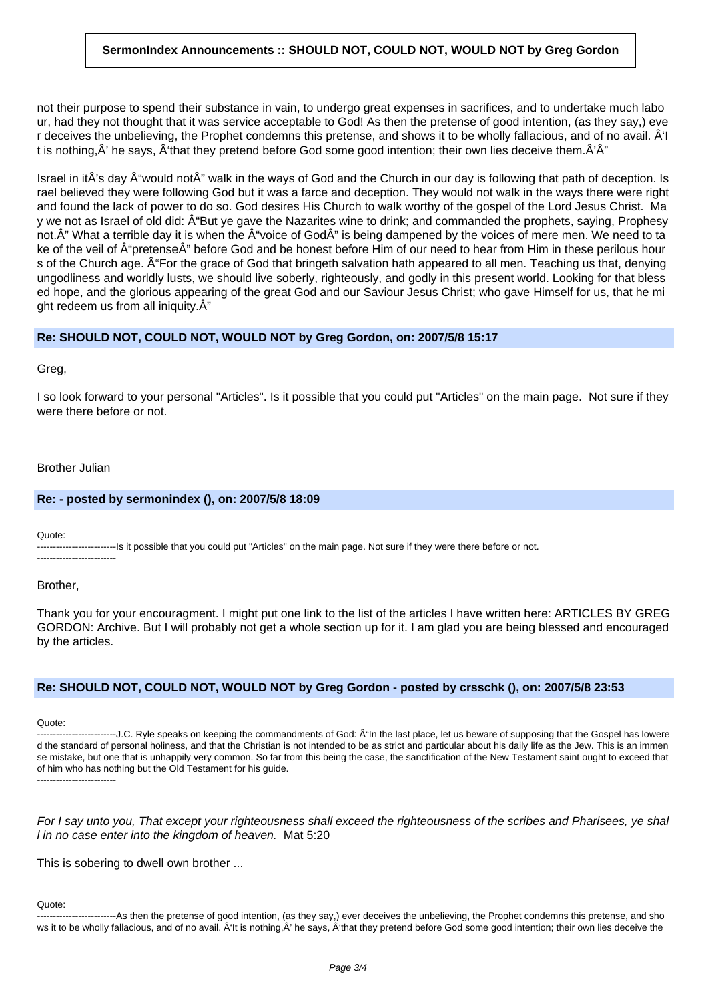# **SermonIndex Announcements :: SHOULD NOT, COULD NOT, WOULD NOT by Greg Gordon**

not their purpose to spend their substance in vain, to undergo great expenses in sacrifices, and to undertake much labo ur, had they not thought that it was service acceptable to God! As then the pretense of good intention, (as they say,) eve r deceives the unbelieving, the Prophet condemns this pretense, and shows it to be wholly fallacious, and of no avail.  $\hat{A}$ 'l t is nothing, $\hat{A}'$  he says,  $\hat{A}'$ that they pretend before God some good intention; their own lies deceive them. $\hat{A}'\hat{A}''$ 

Israel in itÂ's day  $\hat{A}$ "would not $\hat{A}$ " walk in the ways of God and the Church in our day is following that path of deception. Is rael believed they were following God but it was a farce and deception. They would not walk in the ways there were right and found the lack of power to do so. God desires His Church to walk worthy of the gospel of the Lord Jesus Christ. Ma y we not as Israel of old did:  $\hat{A}$ "But ye gave the Nazarites wine to drink; and commanded the prophets, saying, Prophesy not.Â" What a terrible day it is when the Â"voice of GodÂ" is being dampened by the voices of mere men. We need to ta ke of the veil of Â"pretenseÂ" before God and be honest before Him of our need to hear from Him in these perilous hour s of the Church age. A For the grace of God that bringeth salvation hath appeared to all men. Teaching us that, denying ungodliness and worldly lusts, we should live soberly, righteously, and godly in this present world. Looking for that bless ed hope, and the glorious appearing of the great God and our Saviour Jesus Christ; who gave Himself for us, that he mi ght redeem us from all iniquity. $\hat{A}$ "

## **Re: SHOULD NOT, COULD NOT, WOULD NOT by Greg Gordon, on: 2007/5/8 15:17**

Greg,

I so look forward to your personal "Articles". Is it possible that you could put "Articles" on the main page. Not sure if they were there before or not.

#### Brother Julian

#### **Re: - posted by sermonindex (), on: 2007/5/8 18:09**

Quote:

-------------------------Is it possible that you could put "Articles" on the main page. Not sure if they were there before or not. -------------------------

Brother,

Thank you for your encouragment. I might put one link to the list of the articles I have written here: ARTICLES BY GREG GORDON: Archive. But I will probably not get a whole section up for it. I am glad you are being blessed and encouraged by the articles.

## **Re: SHOULD NOT, COULD NOT, WOULD NOT by Greg Gordon - posted by crsschk (), on: 2007/5/8 23:53**

Quote:

--------------J.C. Ryle speaks on keeping the commandments of God: Â n the last place, let us beware of supposing that the Gospel has lowere d the standard of personal holiness, and that the Christian is not intended to be as strict and particular about his daily life as the Jew. This is an immen se mistake, but one that is unhappily very common. So far from this being the case, the sanctification of the New Testament saint ought to exceed that of him who has nothing but the Old Testament for his guide.

-------------------------

For I say unto you, That except your righteousness shall exceed the righteousness of the scribes and Pharisees, ye shal l in no case enter into the kingdom of heaven. Mat 5:20

This is sobering to dwell own brother ...

#### Quote:

-------------------------As then the pretense of good intention, (as they say,) ever deceives the unbelieving, the Prophet condemns this pretense, and sho ws it to be wholly fallacious, and of no avail. Â'lt is nothing,Â' he says, Â'that they pretend before God some good intention; their own lies deceive the